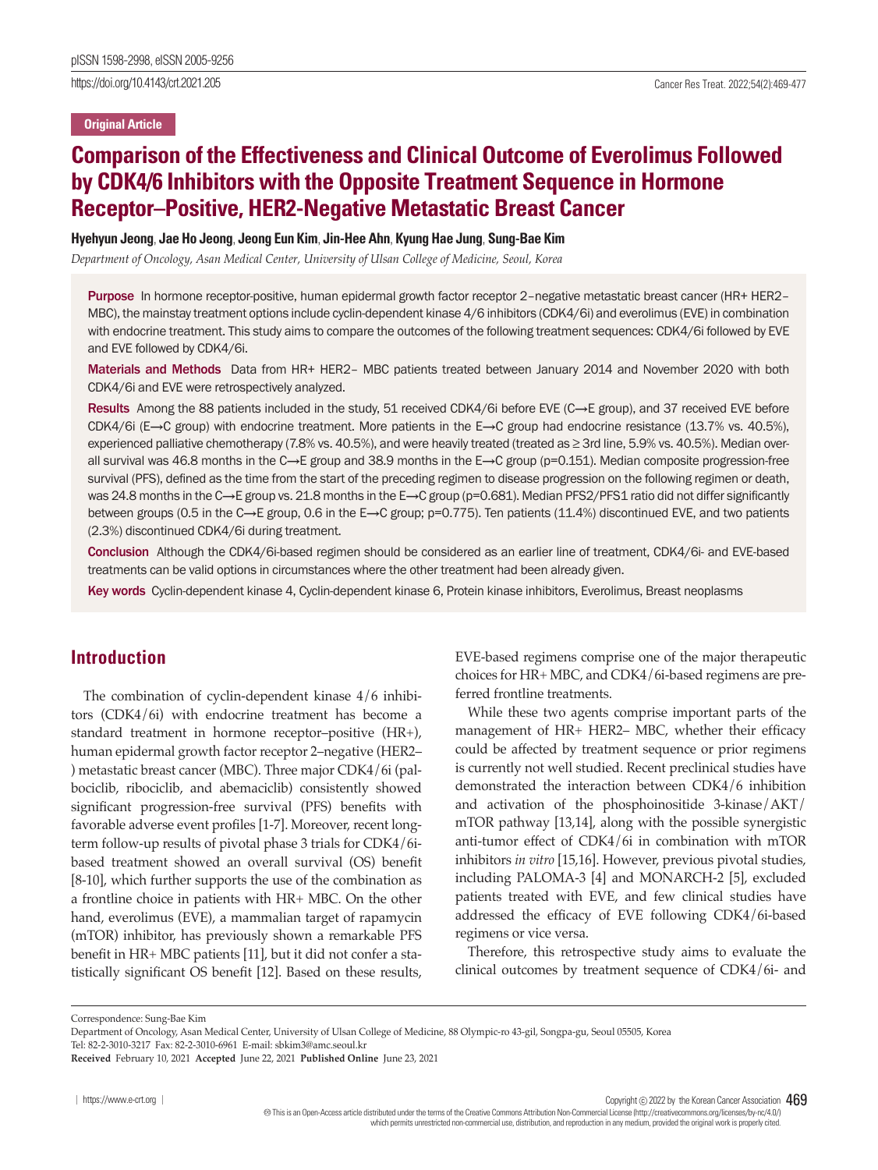https://doi.org/10.4143/crt.2021.205 Cancer Res Treat. 2022;54(2):469-477

#### **Original Article**

# **Comparison of the Effectiveness and Clinical Outcome of Everolimus Followed by CDK4/6 Inhibitors with the Opposite Treatment Sequence in Hormone Receptor–Positive, HER2-Negative Metastatic Breast Cancer**

### **Hyehyun Jeong**, **Jae Ho Jeong**, **Jeong Eun Kim**, **Jin-Hee Ahn**, **Kyung Hae Jung**, **Sung-Bae Kim**

*Department of Oncology, Asan Medical Center, University of Ulsan College of Medicine, Seoul, Korea*

Purpose In hormone receptor-positive, human epidermal growth factor receptor 2–negative metastatic breast cancer (HR+ HER2– MBC), the mainstay treatment options include cyclin-dependent kinase 4/6 inhibitors (CDK4/6i) and everolimus (EVE) in combination with endocrine treatment. This study aims to compare the outcomes of the following treatment sequences: CDK4/6i followed by EVE and EVE followed by CDK4/6i.

Materials and Methods Data from HR+ HER2– MBC patients treated between January 2014 and November 2020 with both CDK4/6i and EVE were retrospectively analyzed.

Results Among the 88 patients included in the study, 51 received CDK4/6i before EVE (C→E group), and 37 received EVE before CDK4/6i (E→C group) with endocrine treatment. More patients in the E→C group had endocrine resistance (13.7% vs. 40.5%), experienced palliative chemotherapy (7.8% vs. 40.5%), and were heavily treated (treated as ≥ 3rd line, 5.9% vs. 40.5%). Median overall survival was 46.8 months in the C→E group and 38.9 months in the E→C group (p=0.151). Median composite progression-free survival (PFS), defined as the time from the start of the preceding regimen to disease progression on the following regimen or death, was 24.8 months in the C→E group vs. 21.8 months in the E→C group (p=0.681). Median PFS2/PFS1 ratio did not differ significantly between groups (0.5 in the C→E group, 0.6 in the E→C group; p=0.775). Ten patients (11.4%) discontinued EVE, and two patients (2.3%) discontinued CDK4/6i during treatment.

Conclusion Although the CDK4/6i-based regimen should be considered as an earlier line of treatment, CDK4/6i- and EVE-based treatments can be valid options in circumstances where the other treatment had been already given.

Key words Cyclin-dependent kinase 4, Cyclin-dependent kinase 6, Protein kinase inhibitors, Everolimus, Breast neoplasms

## **Introduction**

The combination of cyclin-dependent kinase 4/6 inhibitors (CDK4/6i) with endocrine treatment has become a standard treatment in hormone receptor–positive (HR+), human epidermal growth factor receptor 2–negative (HER2– ) metastatic breast cancer (MBC). Three major CDK4/6i (palbociclib, ribociclib, and abemaciclib) consistently showed significant progression-free survival (PFS) benefits with favorable adverse event profiles [1-7]. Moreover, recent longterm follow-up results of pivotal phase 3 trials for CDK4/6ibased treatment showed an overall survival (OS) benefit [8-10], which further supports the use of the combination as a frontline choice in patients with HR+ MBC. On the other hand, everolimus (EVE), a mammalian target of rapamycin (mTOR) inhibitor, has previously shown a remarkable PFS benefit in HR+ MBC patients [11], but it did not confer a statistically significant OS benefit [12]. Based on these results,

EVE-based regimens comprise one of the major therapeutic choices for HR+ MBC, and CDK4/6i-based regimens are preferred frontline treatments.

While these two agents comprise important parts of the management of HR+ HER2– MBC, whether their efficacy could be affected by treatment sequence or prior regimens is currently not well studied. Recent preclinical studies have demonstrated the interaction between CDK4/6 inhibition and activation of the phosphoinositide 3-kinase/AKT/ mTOR pathway [13,14], along with the possible synergistic anti-tumor effect of CDK4/6i in combination with mTOR inhibitors *in vitro* [15,16]. However, previous pivotal studies, including PALOMA-3 [4] and MONARCH-2 [5], excluded patients treated with EVE, and few clinical studies have addressed the efficacy of EVE following CDK4/6i-based regimens or vice versa.

Therefore, this retrospective study aims to evaluate the clinical outcomes by treatment sequence of CDK4/6i- and

Correspondence: Sung-Bae Kim

Copyright  $©$  2022 by the Korean Cancer Association  $469$  This is an Open-Access article distributed under the terms of the Creative Commons Attribution Non-Commercial License (http://creativecommons.org/licenses/by-nc/4.0/) which permits unrestricted non-commercial use, distribution, and reproduction in any medium, provided the original work is properly cited.

Department of Oncology, Asan Medical Center, University of Ulsan College of Medicine, 88 Olympic-ro 43-gil, Songpa-gu, Seoul 05505, Korea

Tel: 82-2-3010-3217 Fax: 82-2-3010-6961 E-mail: sbkim3@amc.seoul.kr

**Received** February 10, 2021 **Accepted** June 22, 2021 **Published Online** June 23, 2021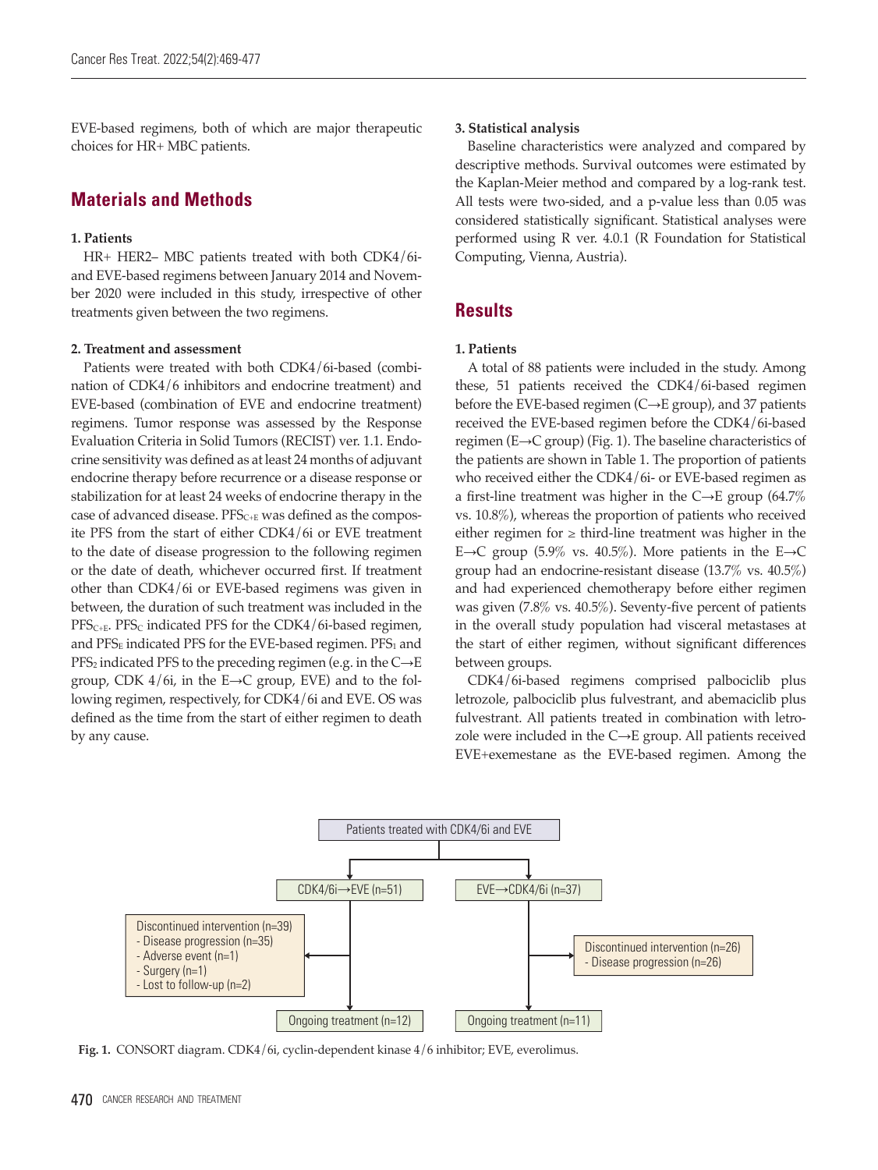EVE-based regimens, both of which are major therapeutic choices for HR+ MBC patients.

## **Materials and Methods**

## **1. Patients**

HR+ HER2– MBC patients treated with both CDK4/6iand EVE-based regimens between January 2014 and November 2020 were included in this study, irrespective of other treatments given between the two regimens.

## **2. Treatment and assessment**

Patients were treated with both CDK4/6i-based (combination of CDK4/6 inhibitors and endocrine treatment) and EVE-based (combination of EVE and endocrine treatment) regimens. Tumor response was assessed by the Response Evaluation Criteria in Solid Tumors (RECIST) ver. 1.1. Endocrine sensitivity was defined as at least 24 months of adjuvant endocrine therapy before recurrence or a disease response or stabilization for at least 24 weeks of endocrine therapy in the case of advanced disease. PFS<sub>C+E</sub> was defined as the composite PFS from the start of either CDK4/6i or EVE treatment to the date of disease progression to the following regimen or the date of death, whichever occurred first. If treatment other than CDK4/6i or EVE-based regimens was given in between, the duration of such treatment was included in the  $PFS_{C+E}$ . PFS<sub>C</sub> indicated PFS for the CDK4/6i-based regimen, and  $PFS<sub>E</sub>$  indicated PFS for the EVE-based regimen. PFS<sub>1</sub> and  $PFS_2$  indicated PFS to the preceding regimen (e.g. in the  $C\rightarrow E$ group, CDK  $4/6i$ , in the E $\rightarrow$ C group, EVE) and to the following regimen, respectively, for CDK4/6i and EVE. OS was defined as the time from the start of either regimen to death by any cause.

## **3. Statistical analysis**

Baseline characteristics were analyzed and compared by descriptive methods. Survival outcomes were estimated by the Kaplan-Meier method and compared by a log-rank test. All tests were two-sided, and a p-value less than 0.05 was considered statistically significant. Statistical analyses were performed using R ver. 4.0.1 (R Foundation for Statistical Computing, Vienna, Austria).

## **Results**

## **1. Patients**

A total of 88 patients were included in the study. Among these, 51 patients received the CDK4/6i-based regimen before the EVE-based regimen (C→E group), and 37 patients received the EVE-based regimen before the CDK4/6i-based regimen (E→C group) (Fig. 1). The baseline characteristics of the patients are shown in Table 1. The proportion of patients who received either the CDK4/6i- or EVE-based regimen as a first-line treatment was higher in the  $C\rightarrow E$  group (64.7%) vs. 10.8%), whereas the proportion of patients who received either regimen for  $\geq$  third-line treatment was higher in the E→C group (5.9% vs. 40.5%). More patients in the E→C group had an endocrine-resistant disease (13.7% vs. 40.5%) and had experienced chemotherapy before either regimen was given (7.8% vs. 40.5%). Seventy-five percent of patients in the overall study population had visceral metastases at the start of either regimen, without significant differences between groups.

CDK4/6i-based regimens comprised palbociclib plus letrozole, palbociclib plus fulvestrant, and abemaciclib plus fulvestrant. All patients treated in combination with letrozole were included in the  $C \rightarrow E$  group. All patients received EVE+exemestane as the EVE-based regimen. Among the



**Fig. 1.** CONSORT diagram. CDK4/6i, cyclin-dependent kinase 4/6 inhibitor; EVE, everolimus.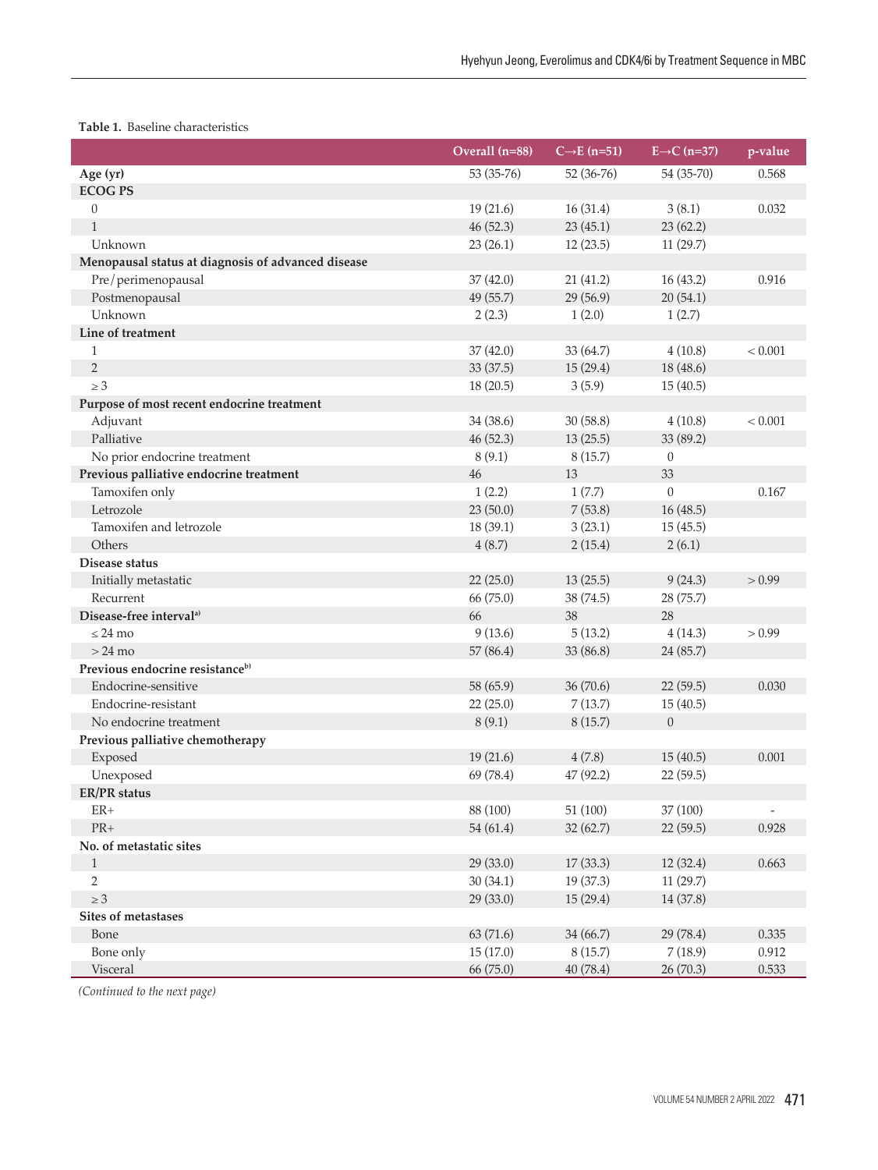## **Table 1.** Baseline characteristics

|                                                    | Overall (n=88) | $C\rightarrow E$ (n=51) | $E\rightarrow C$ (n=37) | p-value                  |
|----------------------------------------------------|----------------|-------------------------|-------------------------|--------------------------|
| Age (yr)                                           | 53 (35-76)     | 52 (36-76)              | 54 (35-70)              | 0.568                    |
| <b>ECOG PS</b>                                     |                |                         |                         |                          |
| $\theta$                                           | 19(21.6)       | 16(31.4)                | 3(8.1)                  | 0.032                    |
| $\mathbf{1}$                                       | 46 (52.3)      | 23(45.1)                | 23(62.2)                |                          |
| Unknown                                            | 23(26.1)       | 12(23.5)                | 11(29.7)                |                          |
| Menopausal status at diagnosis of advanced disease |                |                         |                         |                          |
| Pre/perimenopausal                                 | 37(42.0)       | 21(41.2)                | 16(43.2)                | 0.916                    |
| Postmenopausal                                     | 49 (55.7)      | 29 (56.9)               | 20(54.1)                |                          |
| Unknown                                            | 2(2.3)         | 1(2.0)                  | 1(2.7)                  |                          |
| Line of treatment                                  |                |                         |                         |                          |
| $\mathbf{1}$                                       | 37(42.0)       | 33 (64.7)               | 4(10.8)                 | < 0.001                  |
| $\overline{2}$                                     | 33 (37.5)      | 15(29.4)                | 18 (48.6)               |                          |
| $\geq 3$                                           | 18(20.5)       | 3(5.9)                  | 15(40.5)                |                          |
| Purpose of most recent endocrine treatment         |                |                         |                         |                          |
| Adjuvant                                           | 34 (38.6)      | 30(58.8)                | 4(10.8)                 | < 0.001                  |
| Palliative                                         | 46 (52.3)      | 13(25.5)                | 33 (89.2)               |                          |
| No prior endocrine treatment                       | 8(9.1)         | 8(15.7)                 | $\overline{0}$          |                          |
| Previous palliative endocrine treatment            | 46             | 13                      | 33                      |                          |
| Tamoxifen only                                     | 1(2.2)         | 1(7.7)                  | $\overline{0}$          | 0.167                    |
| Letrozole                                          | 23(50.0)       | 7(53.8)                 | 16(48.5)                |                          |
| Tamoxifen and letrozole                            | 18(39.1)       | 3(23.1)                 | 15(45.5)                |                          |
| Others                                             | 4(8.7)         | 2(15.4)                 | 2(6.1)                  |                          |
| Disease status                                     |                |                         |                         |                          |
| Initially metastatic                               | 22(25.0)       | 13(25.5)                | 9(24.3)                 | > 0.99                   |
| Recurrent                                          | 66 (75.0)      | 38 (74.5)               | 28 (75.7)               |                          |
| Disease-free interval <sup>a)</sup>                | 66             | 38                      | 28                      |                          |
| $\leq$ 24 mo                                       | 9(13.6)        | 5(13.2)                 | 4(14.3)                 | > 0.99                   |
| $>24$ mo                                           | 57 (86.4)      | 33 (86.8)               | 24 (85.7)               |                          |
| Previous endocrine resistance <sup>b)</sup>        |                |                         |                         |                          |
| Endocrine-sensitive                                | 58 (65.9)      | 36 (70.6)               | 22(59.5)                | 0.030                    |
| Endocrine-resistant                                | 22(25.0)       | 7(13.7)                 | 15(40.5)                |                          |
| No endocrine treatment                             | 8(9.1)         | 8(15.7)                 | $\boldsymbol{0}$        |                          |
| Previous palliative chemotherapy                   |                |                         |                         |                          |
| Exposed                                            | 19(21.6)       | 4(7.8)                  | 15(40.5)                | 0.001                    |
| Unexposed                                          | 69 (78.4)      | 47 (92.2)               | 22(59.5)                |                          |
| <b>ER/PR</b> status                                |                |                         |                         |                          |
| $ER+$                                              | 88 (100)       | 51 (100)                | 37 (100)                | $\overline{\phantom{a}}$ |
| ${\rm PR+}$                                        | 54 (61.4)      | 32(62.7)                | 22 (59.5)               | 0.928                    |
| No. of metastatic sites                            |                |                         |                         |                          |
| $\mathbf{1}$                                       | 29 (33.0)      | 17(33.3)                | 12(32.4)                | 0.663                    |
| $\mathbf{2}$                                       | 30(34.1)       | 19(37.3)                | 11(29.7)                |                          |
| $\geq 3$                                           | 29 (33.0)      | 15(29.4)                | 14 (37.8)               |                          |
| Sites of metastases                                |                |                         |                         |                          |
| Bone                                               | 63 (71.6)      | 34 (66.7)               | 29 (78.4)               | 0.335                    |
| Bone only                                          | 15(17.0)       | 8(15.7)                 | 7(18.9)                 | 0.912                    |
| Visceral                                           | 66(75.0)       | 40(78.4)                | 26(70.3)                | 0.533                    |

*(Continued to the next page)*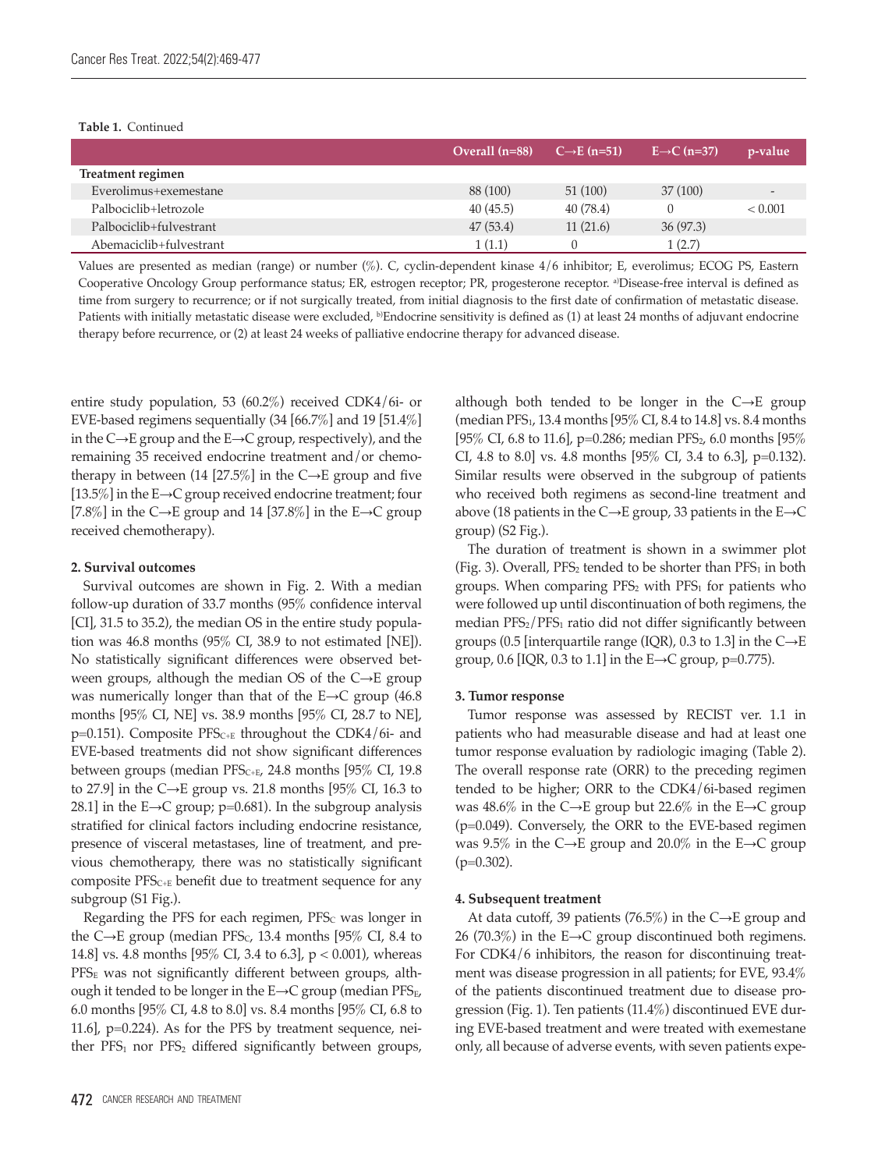#### **Table 1.** Continued

|                         | Overall $(n=88)$ | $C \rightarrow E$ (n=51) | $E \rightarrow C$ (n=37) | p-value                  |
|-------------------------|------------------|--------------------------|--------------------------|--------------------------|
| Treatment regimen       |                  |                          |                          |                          |
| Everolimus+exemestane   | 88 (100)         | 51(100)                  | 37(100)                  | $\overline{\phantom{0}}$ |
| Palbociclib+letrozole   | 40(45.5)         | 40(78.4)                 |                          | < 0.001                  |
| Palbociclib+fulvestrant | 47(53.4)         | 11(21.6)                 | 36(97.3)                 |                          |
| Abemaciclib+fulvestrant | 1(1.1)           |                          | 1(2.7)                   |                          |

Values are presented as median (range) or number (%). C, cyclin-dependent kinase 4/6 inhibitor; E, everolimus; ECOG PS, Eastern Cooperative Oncology Group performance status; ER, estrogen receptor; PR, progesterone receptor. <sup>a</sup>)Disease-free interval is defined as time from surgery to recurrence; or if not surgically treated, from initial diagnosis to the first date of confirmation of metastatic disease. Patients with initially metastatic disease were excluded, <sup>b)</sup>Endocrine sensitivity is defined as (1) at least 24 months of adjuvant endocrine therapy before recurrence, or (2) at least 24 weeks of palliative endocrine therapy for advanced disease.

entire study population, 53 (60.2%) received CDK4/6i- or EVE-based regimens sequentially (34 [66.7%] and 19 [51.4%] in the C→E group and the E→C group, respectively), and the remaining 35 received endocrine treatment and/or chemotherapy in between (14 [27.5%] in the  $C\rightarrow E$  group and five [13.5%] in the E→C group received endocrine treatment; four [7.8%] in the C→E group and 14 [37.8%] in the E→C group received chemotherapy).

#### **2. Survival outcomes**

Survival outcomes are shown in Fig. 2. With a median follow-up duration of 33.7 months (95% confidence interval [CI], 31.5 to 35.2), the median OS in the entire study population was 46.8 months (95% CI, 38.9 to not estimated [NE]). No statistically significant differences were observed between groups, although the median OS of the C→E group was numerically longer than that of the E→C group (46.8 months [95% CI, NE] vs. 38.9 months [95% CI, 28.7 to NE],  $p=0.151$ ). Composite PFS<sub>C+E</sub> throughout the CDK4/6i- and EVE-based treatments did not show significant differences between groups (median PFS<sub>C+E</sub>, 24.8 months [95% CI, 19.8 to 27.9] in the C→E group vs. 21.8 months [95% CI, 16.3 to 28.1] in the E→C group; p=0.681). In the subgroup analysis stratified for clinical factors including endocrine resistance, presence of visceral metastases, line of treatment, and previous chemotherapy, there was no statistically significant composite  $PFS_{C+E}$  benefit due to treatment sequence for any subgroup (S1 Fig.).

Regarding the PFS for each regimen,  $PFS<sub>c</sub>$  was longer in the C→E group (median PFS<sub>C</sub>, 13.4 months [95% CI, 8.4 to 14.8] vs. 4.8 months [95% CI, 3.4 to 6.3], p < 0.001), whereas PFS<sub>E</sub> was not significantly different between groups, although it tended to be longer in the  $E\rightarrow C$  group (median PFS $_{E}$ , 6.0 months [95% CI, 4.8 to 8.0] vs. 8.4 months [95% CI, 6.8 to 11.6], p=0.224). As for the PFS by treatment sequence, neither  $PFS_1$  nor  $PFS_2$  differed significantly between groups,

although both tended to be longer in the  $C\rightarrow E$  group (median PFS1, 13.4 months [95% CI, 8.4 to 14.8] vs. 8.4 months [95% CI, 6.8 to 11.6], p=0.286; median PFS<sub>2</sub>, 6.0 months [95%] CI, 4.8 to 8.0] vs. 4.8 months [95% CI, 3.4 to 6.3], p=0.132). Similar results were observed in the subgroup of patients who received both regimens as second-line treatment and above (18 patients in the C→E group, 33 patients in the E→C group) (S2 Fig.).

The duration of treatment is shown in a swimmer plot (Fig. 3). Overall,  $PFS_2$  tended to be shorter than  $PFS_1$  in both groups. When comparing  $PFS_2$  with  $PFS_1$  for patients who were followed up until discontinuation of both regimens, the median  $PFS_2/PFS_1$  ratio did not differ significantly between groups (0.5 [interquartile range (IQR), 0.3 to 1.3] in the  $C\rightarrow E$ group, 0.6 [IQR, 0.3 to 1.1] in the  $E\rightarrow C$  group, p=0.775).

#### **3. Tumor response**

Tumor response was assessed by RECIST ver. 1.1 in patients who had measurable disease and had at least one tumor response evaluation by radiologic imaging (Table 2). The overall response rate (ORR) to the preceding regimen tended to be higher; ORR to the CDK4/6i-based regimen was 48.6% in the C→E group but 22.6% in the E→C group (p=0.049). Conversely, the ORR to the EVE-based regimen was 9.5% in the C→E group and 20.0% in the E→C group (p=0.302).

#### **4. Subsequent treatment**

At data cutoff, 39 patients (76.5%) in the C→E group and 26 (70.3%) in the E→C group discontinued both regimens. For CDK4/6 inhibitors, the reason for discontinuing treatment was disease progression in all patients; for EVE, 93.4% of the patients discontinued treatment due to disease progression (Fig. 1). Ten patients (11.4%) discontinued EVE during EVE-based treatment and were treated with exemestane only, all because of adverse events, with seven patients expe-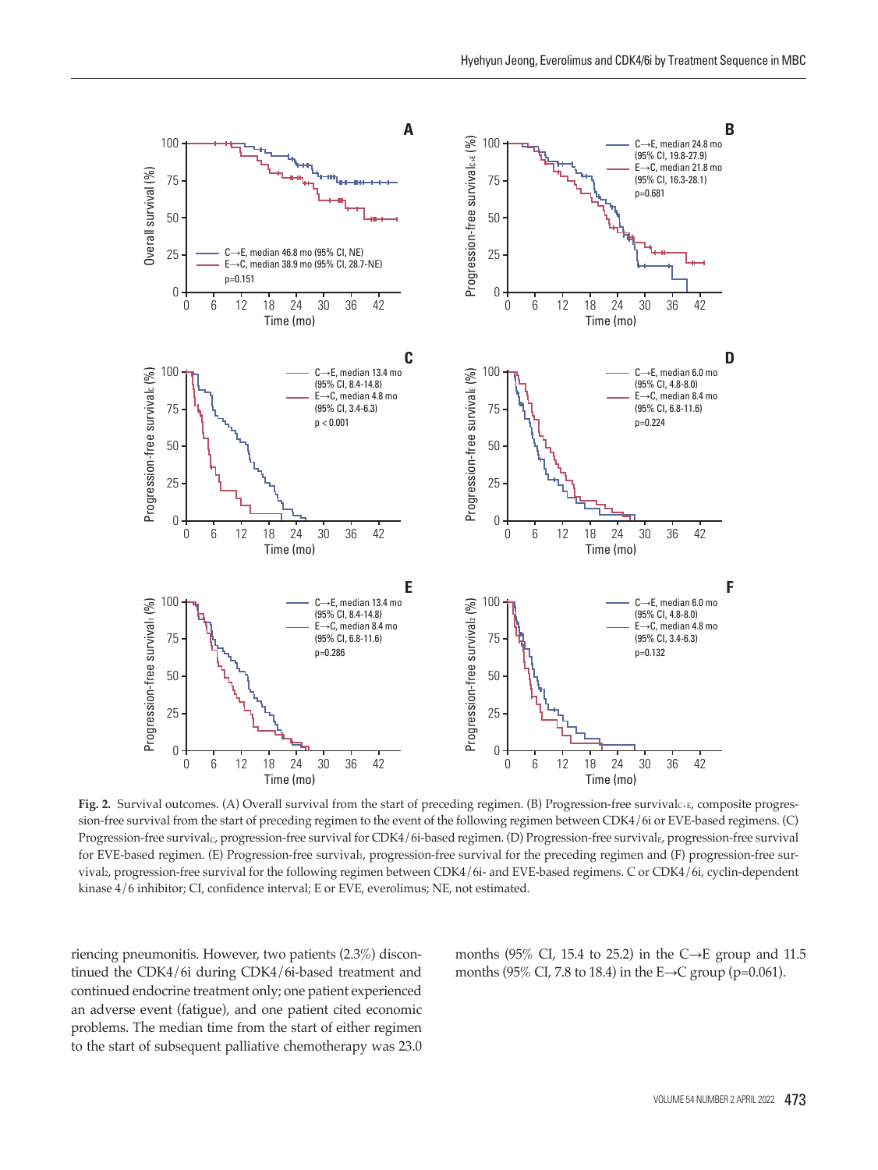

**Fig. 2.** Survival outcomes. (A) Overall survival from the start of preceding regimen. (B) Progression-free survivalC+E, composite progression-free survival from the start of preceding regimen to the event of the following regimen between CDK4/6i or EVE-based regimens. (C) Progression-free survival<sub>C</sub>, progression-free survival for CDK4/6i-based regimen. (D) Progression-free survival<sub>E</sub>, progression-free survival for EVE-based regimen. (E) Progression-free survival<sub>1</sub>, progression-free survival for the preceding regimen and (F) progression-free survival2, progression-free survival for the following regimen between CDK4/6i- and EVE-based regimens. C or CDK4/6i, cyclin-dependent

riencing pneumonitis. However, two patients (2.3%) discontinued the CDK4/6i during CDK4/6i-based treatment and continued endocrine treatment only; one patient experienced an adverse event (fatigue), and one patient cited economic problems. The median time from the start of either regimen to the start of subsequent palliative chemotherapy was 23.0 months (95% CI, 15.4 to 25.2) in the C $\rightarrow$ E group and 11.5 months (95% CI, 7.8 to 18.4) in the E→C group (p=0.061).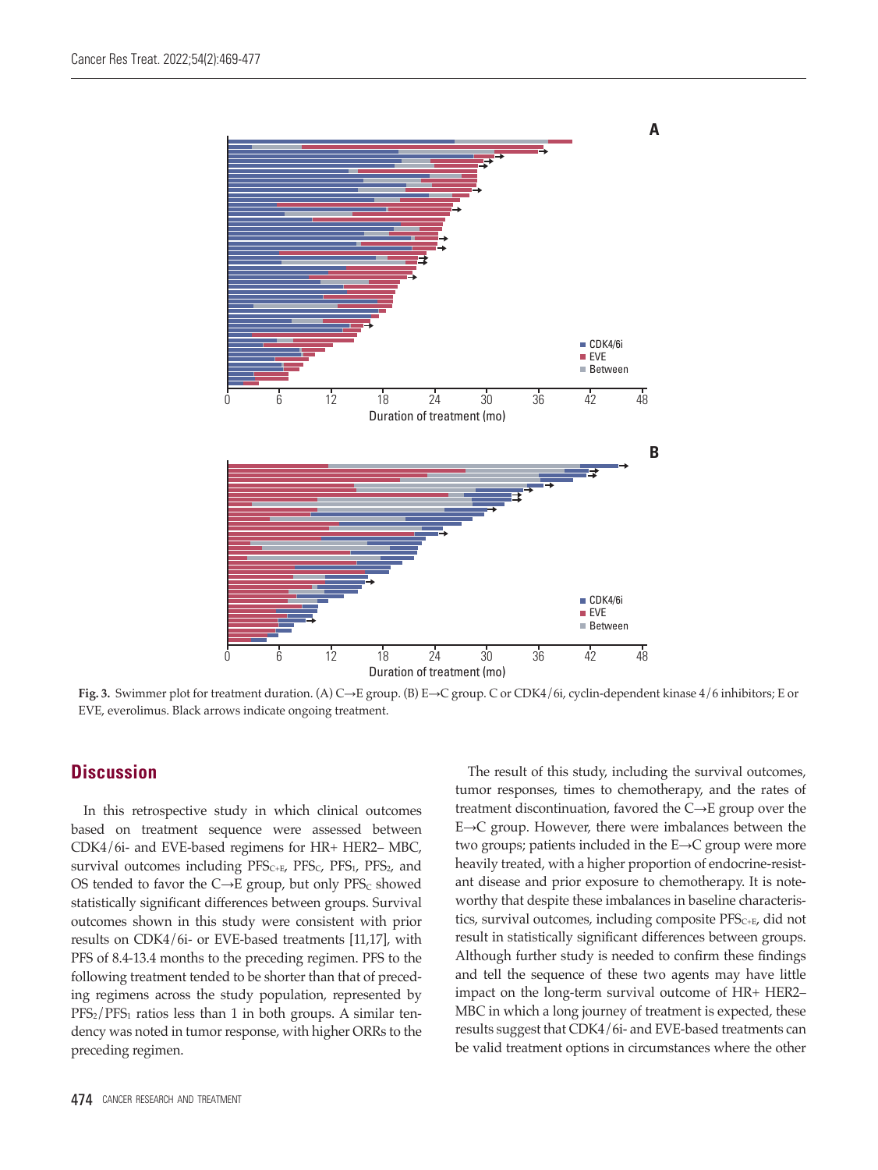

**Fig. 3.** Swimmer plot for treatment duration. (A) C→E group. (B) E→C group. C or CDK4/6i, cyclin-dependent kinase 4/6 inhibitors; E or EVE, everolimus. Black arrows indicate ongoing treatment.

## **Discussion**

In this retrospective study in which clinical outcomes based on treatment sequence were assessed between CDK4/6i- and EVE-based regimens for HR+ HER2– MBC, survival outcomes including  $PFS_{C+E}$ ,  $PFS_{C}$ ,  $PFS_{1}$ ,  $PFS_{2}$ , and OS tended to favor the  $C\rightarrow E$  group, but only PFS<sub>C</sub> showed statistically significant differences between groups. Survival outcomes shown in this study were consistent with prior results on CDK4/6i- or EVE-based treatments [11,17], with PFS of 8.4-13.4 months to the preceding regimen. PFS to the following treatment tended to be shorter than that of preceding regimens across the study population, represented by  $PFS<sub>2</sub>/PFS<sub>1</sub>$  ratios less than 1 in both groups. A similar tendency was noted in tumor response, with higher ORRs to the preceding regimen.

tumor responses, times to chemotherapy, and the rates of treatment discontinuation, favored the C→E group over the E→C group. However, there were imbalances between the two groups; patients included in the E→C group were more heavily treated, with a higher proportion of endocrine-resistant disease and prior exposure to chemotherapy. It is noteworthy that despite these imbalances in baseline characteristics, survival outcomes, including composite  $PFS_{C+E}$ , did not result in statistically significant differences between groups. Although further study is needed to confirm these findings and tell the sequence of these two agents may have little impact on the long-term survival outcome of HR+ HER2– MBC in which a long journey of treatment is expected, these results suggest that CDK4/6i- and EVE-based treatments can be valid treatment options in circumstances where the other

The result of this study, including the survival outcomes,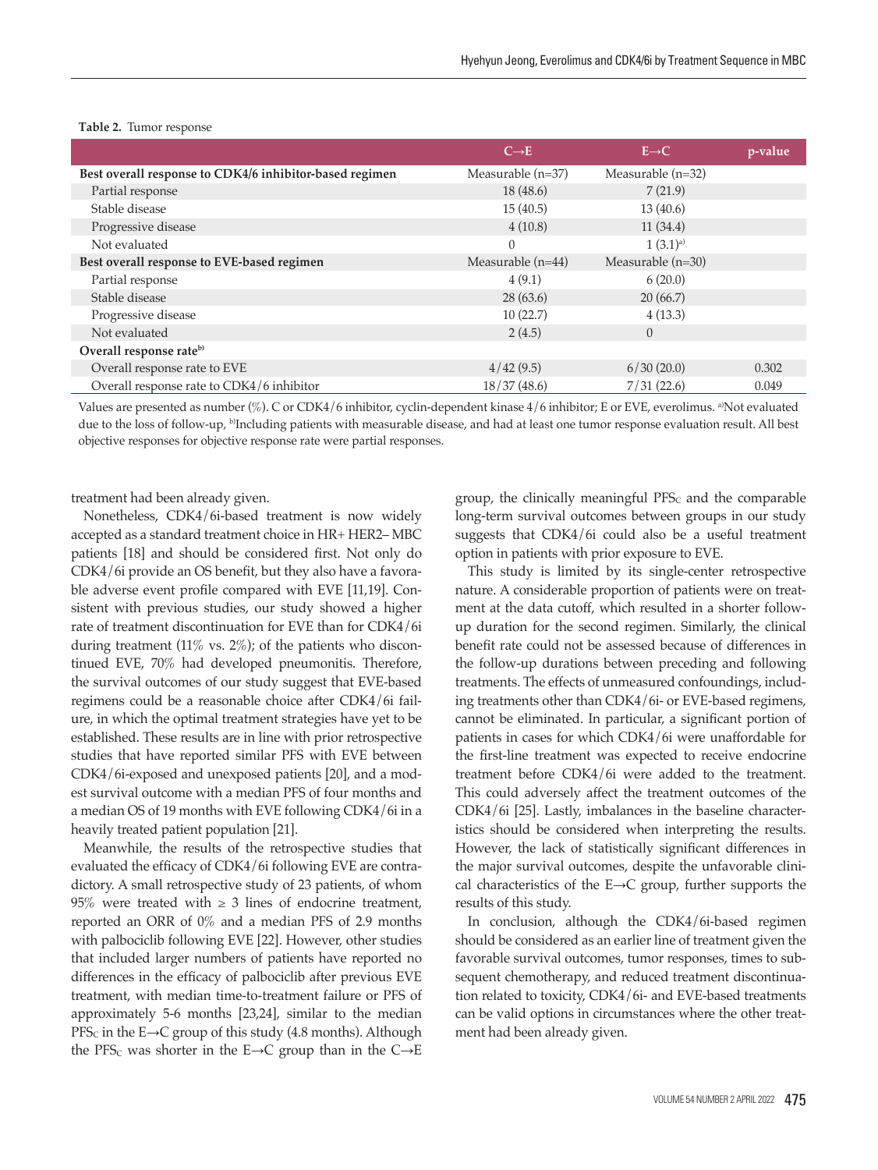|                                                         | $C \rightarrow E$   | $E \rightarrow C$      | p-value |
|---------------------------------------------------------|---------------------|------------------------|---------|
| Best overall response to CDK4/6 inhibitor-based regimen | Measurable (n=37)   | Measurable $(n=32)$    |         |
| Partial response                                        | 18(48.6)            | 7(21.9)                |         |
| Stable disease                                          | 15(40.5)            | 13(40.6)               |         |
| Progressive disease                                     | 4(10.8)             | 11(34.4)               |         |
| Not evaluated                                           | $\theta$            | $1(3.1)$ <sup>a)</sup> |         |
| Best overall response to EVE-based regimen              | Measurable $(n=44)$ | Measurable $(n=30)$    |         |
| Partial response                                        | 4(9.1)              | 6(20.0)                |         |
| Stable disease                                          | 28(63.6)            | 20(66.7)               |         |
| Progressive disease                                     | 10(22.7)            | 4(13.3)                |         |
| Not evaluated                                           | 2(4.5)              | $\theta$               |         |
| Overall response rate <sup>b)</sup>                     |                     |                        |         |
| Overall response rate to EVE                            | 4/42(9.5)           | 6/30(20.0)             | 0.302   |
| Overall response rate to CDK4/6 inhibitor               | 18/37(48.6)         | 7/31(22.6)             | 0.049   |

#### **Table 2.** Tumor response

Values are presented as number (%). C or CDK4/6 inhibitor, cyclin-dependent kinase 4/6 inhibitor; E or EVE, everolimus. a)Not evaluated due to the loss of follow-up, <sup>b</sup>Including patients with measurable disease, and had at least one tumor response evaluation result. All best objective responses for objective response rate were partial responses.

treatment had been already given.

Nonetheless, CDK4/6i-based treatment is now widely accepted as a standard treatment choice in HR+ HER2– MBC patients [18] and should be considered first. Not only do CDK4/6i provide an OS benefit, but they also have a favorable adverse event profile compared with EVE [11,19]. Consistent with previous studies, our study showed a higher rate of treatment discontinuation for EVE than for CDK4/6i during treatment (11% vs. 2%); of the patients who discontinued EVE, 70% had developed pneumonitis. Therefore, the survival outcomes of our study suggest that EVE-based regimens could be a reasonable choice after CDK4/6i failure, in which the optimal treatment strategies have yet to be established. These results are in line with prior retrospective studies that have reported similar PFS with EVE between CDK4/6i-exposed and unexposed patients [20], and a modest survival outcome with a median PFS of four months and a median OS of 19 months with EVE following CDK4/6i in a heavily treated patient population [21].

Meanwhile, the results of the retrospective studies that evaluated the efficacy of CDK4/6i following EVE are contradictory. A small retrospective study of 23 patients, of whom 95% were treated with  $\geq$  3 lines of endocrine treatment, reported an ORR of 0% and a median PFS of 2.9 months with palbociclib following EVE [22]. However, other studies that included larger numbers of patients have reported no differences in the efficacy of palbociclib after previous EVE treatment, with median time-to-treatment failure or PFS of approximately 5-6 months [23,24], similar to the median  $PFS<sub>C</sub>$  in the E→C group of this study (4.8 months). Although the PFS<sub>C</sub> was shorter in the E→C group than in the C→E

group, the clinically meaningful  $PFS<sub>c</sub>$  and the comparable long-term survival outcomes between groups in our study suggests that CDK4/6i could also be a useful treatment option in patients with prior exposure to EVE.

This study is limited by its single-center retrospective nature. A considerable proportion of patients were on treatment at the data cutoff, which resulted in a shorter followup duration for the second regimen. Similarly, the clinical benefit rate could not be assessed because of differences in the follow-up durations between preceding and following treatments. The effects of unmeasured confoundings, including treatments other than CDK4/6i- or EVE-based regimens, cannot be eliminated. In particular, a significant portion of patients in cases for which CDK4/6i were unaffordable for the first-line treatment was expected to receive endocrine treatment before CDK4/6i were added to the treatment. This could adversely affect the treatment outcomes of the CDK4/6i [25]. Lastly, imbalances in the baseline characteristics should be considered when interpreting the results. However, the lack of statistically significant differences in the major survival outcomes, despite the unfavorable clinical characteristics of the  $E\rightarrow C$  group, further supports the results of this study.

In conclusion, although the CDK4/6i-based regimen should be considered as an earlier line of treatment given the favorable survival outcomes, tumor responses, times to subsequent chemotherapy, and reduced treatment discontinuation related to toxicity, CDK4/6i- and EVE-based treatments can be valid options in circumstances where the other treatment had been already given.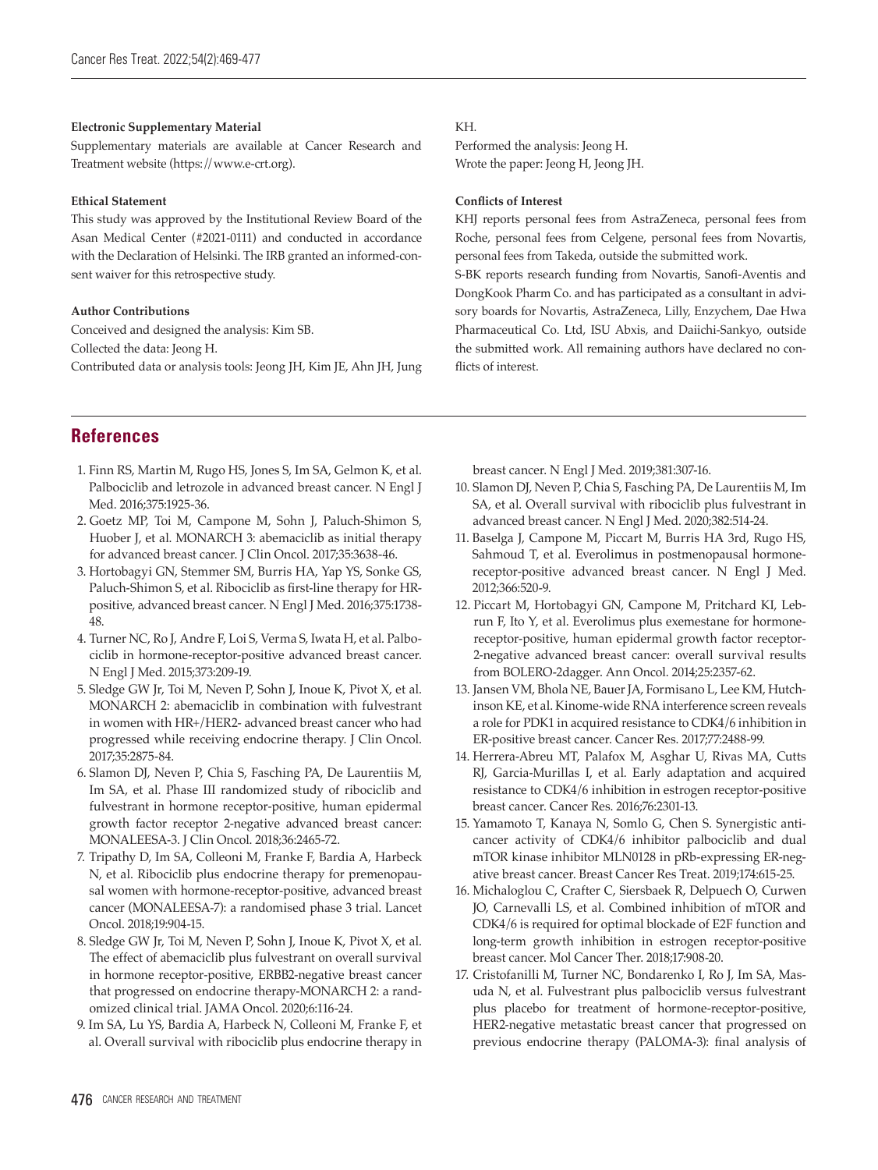#### **Electronic Supplementary Material**

Supplementary materials are available at Cancer Research and Treatment website (https://www.e-crt.org).

#### **Ethical Statement**

This study was approved by the Institutional Review Board of the Asan Medical Center (#2021-0111) and conducted in accordance with the Declaration of Helsinki. The IRB granted an informed-consent waiver for this retrospective study.

#### **Author Contributions**

Conceived and designed the analysis: Kim SB. Collected the data: Jeong H. Contributed data or analysis tools: Jeong JH, Kim JE, Ahn JH, Jung

#### KH.

Performed the analysis: Jeong H. Wrote the paper: Jeong H, Jeong JH.

#### **Conflicts of Interest**

KHJ reports personal fees from AstraZeneca, personal fees from Roche, personal fees from Celgene, personal fees from Novartis, personal fees from Takeda, outside the submitted work.

S-BK reports research funding from Novartis, Sanofi-Aventis and DongKook Pharm Co. and has participated as a consultant in advisory boards for Novartis, AstraZeneca, Lilly, Enzychem, Dae Hwa Pharmaceutical Co. Ltd, ISU Abxis, and Daiichi-Sankyo, outside the submitted work. All remaining authors have declared no conflicts of interest.

## **References**

- 1. Finn RS, Martin M, Rugo HS, Jones S, Im SA, Gelmon K, et al. Palbociclib and letrozole in advanced breast cancer. N Engl J Med. 2016;375:1925-36.
- 2. Goetz MP, Toi M, Campone M, Sohn J, Paluch-Shimon S, Huober J, et al. MONARCH 3: abemaciclib as initial therapy for advanced breast cancer. J Clin Oncol. 2017;35:3638-46.
- 3. Hortobagyi GN, Stemmer SM, Burris HA, Yap YS, Sonke GS, Paluch-Shimon S, et al. Ribociclib as first-line therapy for HRpositive, advanced breast cancer. N Engl J Med. 2016;375:1738- 48.
- 4. Turner NC, Ro J, Andre F, Loi S, Verma S, Iwata H, et al. Palbociclib in hormone-receptor-positive advanced breast cancer. N Engl J Med. 2015;373:209-19.
- 5. Sledge GW Jr, Toi M, Neven P, Sohn J, Inoue K, Pivot X, et al. MONARCH 2: abemaciclib in combination with fulvestrant in women with HR+/HER2- advanced breast cancer who had progressed while receiving endocrine therapy. J Clin Oncol. 2017;35:2875-84.
- 6. Slamon DJ, Neven P, Chia S, Fasching PA, De Laurentiis M, Im SA, et al. Phase III randomized study of ribociclib and fulvestrant in hormone receptor-positive, human epidermal growth factor receptor 2-negative advanced breast cancer: MONALEESA-3. J Clin Oncol. 2018;36:2465-72.
- 7. Tripathy D, Im SA, Colleoni M, Franke F, Bardia A, Harbeck N, et al. Ribociclib plus endocrine therapy for premenopausal women with hormone-receptor-positive, advanced breast cancer (MONALEESA-7): a randomised phase 3 trial. Lancet Oncol. 2018;19:904-15.
- 8. Sledge GW Jr, Toi M, Neven P, Sohn J, Inoue K, Pivot X, et al. The effect of abemaciclib plus fulvestrant on overall survival in hormone receptor-positive, ERBB2-negative breast cancer that progressed on endocrine therapy-MONARCH 2: a randomized clinical trial. JAMA Oncol. 2020;6:116-24.
- 9. Im SA, Lu YS, Bardia A, Harbeck N, Colleoni M, Franke F, et al. Overall survival with ribociclib plus endocrine therapy in

breast cancer. N Engl J Med. 2019;381:307-16.

- 10. Slamon DJ, Neven P, Chia S, Fasching PA, De Laurentiis M, Im SA, et al. Overall survival with ribociclib plus fulvestrant in advanced breast cancer. N Engl J Med. 2020;382:514-24.
- 11. Baselga J, Campone M, Piccart M, Burris HA 3rd, Rugo HS, Sahmoud T, et al. Everolimus in postmenopausal hormonereceptor-positive advanced breast cancer. N Engl J Med. 2012;366:520-9.
- 12. Piccart M, Hortobagyi GN, Campone M, Pritchard KI, Lebrun F, Ito Y, et al. Everolimus plus exemestane for hormonereceptor-positive, human epidermal growth factor receptor-2-negative advanced breast cancer: overall survival results from BOLERO-2dagger. Ann Oncol. 2014;25:2357-62.
- 13. Jansen VM, Bhola NE, Bauer JA, Formisano L, Lee KM, Hutchinson KE, et al. Kinome-wide RNA interference screen reveals a role for PDK1 in acquired resistance to CDK4/6 inhibition in ER-positive breast cancer. Cancer Res. 2017;77:2488-99.
- 14. Herrera-Abreu MT, Palafox M, Asghar U, Rivas MA, Cutts RJ, Garcia-Murillas I, et al. Early adaptation and acquired resistance to CDK4/6 inhibition in estrogen receptor-positive breast cancer. Cancer Res. 2016;76:2301-13.
- 15. Yamamoto T, Kanaya N, Somlo G, Chen S. Synergistic anticancer activity of CDK4/6 inhibitor palbociclib and dual mTOR kinase inhibitor MLN0128 in pRb-expressing ER-negative breast cancer. Breast Cancer Res Treat. 2019;174:615-25.
- 16. Michaloglou C, Crafter C, Siersbaek R, Delpuech O, Curwen JO, Carnevalli LS, et al. Combined inhibition of mTOR and CDK4/6 is required for optimal blockade of E2F function and long-term growth inhibition in estrogen receptor-positive breast cancer. Mol Cancer Ther. 2018;17:908-20.
- 17. Cristofanilli M, Turner NC, Bondarenko I, Ro J, Im SA, Masuda N, et al. Fulvestrant plus palbociclib versus fulvestrant plus placebo for treatment of hormone-receptor-positive, HER2-negative metastatic breast cancer that progressed on previous endocrine therapy (PALOMA-3): final analysis of